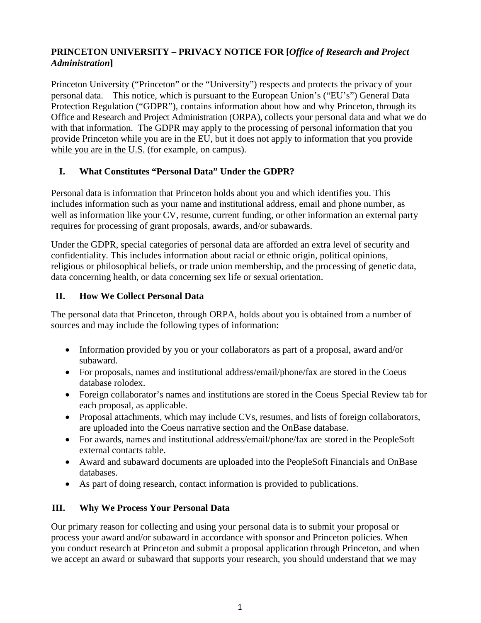# **PRINCETON UNIVERSITY – PRIVACY NOTICE FOR [***Office of Research and Project Administration***]**

Princeton University ("Princeton" or the "University") respects and protects the privacy of your personal data. This notice, which is pursuant to the European Union's ("EU's") General Data Protection Regulation ("GDPR"), contains information about how and why Princeton, through its Office and Research and Project Administration (ORPA), collects your personal data and what we do with that information. The GDPR may apply to the processing of personal information that you provide Princeton while you are in the EU, but it does not apply to information that you provide while you are in the U.S. (for example, on campus).

# **I. What Constitutes "Personal Data" Under the GDPR?**

Personal data is information that Princeton holds about you and which identifies you. This includes information such as your name and institutional address, email and phone number, as well as information like your CV, resume, current funding, or other information an external party requires for processing of grant proposals, awards, and/or subawards.

Under the GDPR, special categories of personal data are afforded an extra level of security and confidentiality. This includes information about racial or ethnic origin, political opinions, religious or philosophical beliefs, or trade union membership, and the processing of genetic data, data concerning health, or data concerning sex life or sexual orientation.

## **II. How We Collect Personal Data**

The personal data that Princeton, through ORPA, holds about you is obtained from a number of sources and may include the following types of information:

- Information provided by you or your collaborators as part of a proposal, award and/or subaward.
- For proposals, names and institutional address/email/phone/fax are stored in the Coeus database rolodex.
- Foreign collaborator's names and institutions are stored in the Coeus Special Review tab for each proposal, as applicable.
- Proposal attachments, which may include CVs, resumes, and lists of foreign collaborators, are uploaded into the Coeus narrative section and the OnBase database.
- For awards, names and institutional address/email/phone/fax are stored in the PeopleSoft external contacts table.
- Award and subaward documents are uploaded into the PeopleSoft Financials and OnBase databases.
- As part of doing research, contact information is provided to publications.

# **III. Why We Process Your Personal Data**

Our primary reason for collecting and using your personal data is to submit your proposal or process your award and/or subaward in accordance with sponsor and Princeton policies. When you conduct research at Princeton and submit a proposal application through Princeton, and when we accept an award or subaward that supports your research, you should understand that we may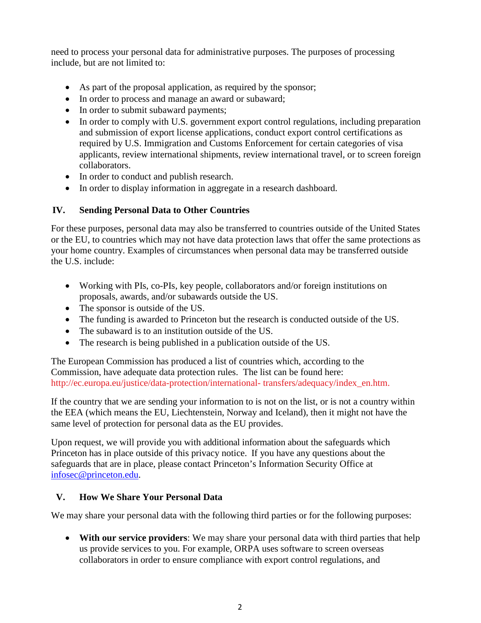need to process your personal data for administrative purposes. The purposes of processing include, but are not limited to:

- As part of the proposal application, as required by the sponsor;
- In order to process and manage an award or subaward;
- In order to submit subaward payments;
- In order to comply with U.S. government export control regulations, including preparation and submission of export license applications, conduct export control certifications as required by U.S. Immigration and Customs Enforcement for certain categories of visa applicants, review international shipments, review international travel, or to screen foreign collaborators.
- In order to conduct and publish research.
- In order to display information in aggregate in a research dashboard.

## **IV. Sending Personal Data to Other Countries**

For these purposes, personal data may also be transferred to countries outside of the United States or the EU, to countries which may not have data protection laws that offer the same protections as your home country. Examples of circumstances when personal data may be transferred outside the U.S. include:

- Working with PIs, co-PIs, key people, collaborators and/or foreign institutions on proposals, awards, and/or subawards outside the US.
- The sponsor is outside of the US.
- The funding is awarded to Princeton but the research is conducted outside of the US.
- The subaward is to an institution outside of the US.
- The research is being published in a publication outside of the US.

The European Commission has produced a list of countries which, according to the Commission, have adequate data protection rules. The list can be found here: [http://ec.europa.eu/justice/data-protection/international-](http://ec.europa.eu/justice/data-protection/international-transfers/adequacy/index_en.htm) [transfers/adequacy/index\\_en.htm.](http://ec.europa.eu/justice/data-protection/international-transfers/adequacy/index_en.htm)

If the country that we are sending your information to is not on the list, or is not a country within the EEA (which means the EU, Liechtenstein, Norway and Iceland), then it might not have the same level of protection for personal data as the EU provides.

Upon request, we will provide you with additional information about the safeguards which Princeton has in place outside of this privacy notice. If you have any questions about the safeguards that are in place, please contact Princeton's Information Security Office at [infosec@princeton.edu.](mailto:infosec@princeton.edu)

## **V. How We Share Your Personal Data**

We may share your personal data with the following third parties or for the following purposes:

• **With our service providers**: We may share your personal data with third parties that help us provide services to you. For example, ORPA uses software to screen overseas collaborators in order to ensure compliance with export control regulations, and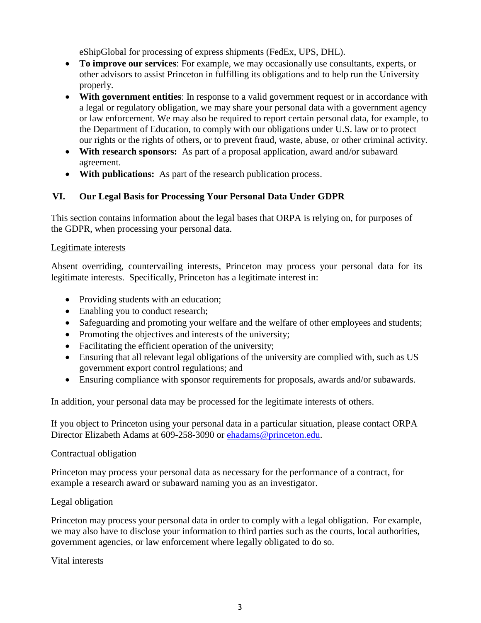eShipGlobal for processing of express shipments (FedEx, UPS, DHL).

- **To improve our services**: For example, we may occasionally use consultants, experts, or other advisors to assist Princeton in fulfilling its obligations and to help run the University properly.
- **With government entities**: In response to a valid government request or in accordance with a legal or regulatory obligation, we may share your personal data with a government agency or law enforcement. We may also be required to report certain personal data, for example, to the Department of Education, to comply with our obligations under U.S. law or to protect our rights or the rights of others, or to prevent fraud, waste, abuse, or other criminal activity.
- **With research sponsors:** As part of a proposal application, award and/or subaward agreement.
- **With publications:** As part of the research publication process.

# **VI. Our Legal Basis for Processing Your Personal Data Under GDPR**

This section contains information about the legal bases that ORPA is relying on, for purposes of the GDPR, when processing your personal data.

## Legitimate interests

Absent overriding, countervailing interests, Princeton may process your personal data for its legitimate interests. Specifically, Princeton has a legitimate interest in:

- Providing students with an education;
- Enabling you to conduct research;
- Safeguarding and promoting your welfare and the welfare of other employees and students;
- Promoting the objectives and interests of the university;
- Facilitating the efficient operation of the university;
- Ensuring that all relevant legal obligations of the university are complied with, such as US government export control regulations; and
- Ensuring compliance with sponsor requirements for proposals, awards and/or subawards.

In addition, your personal data may be processed for the legitimate interests of others.

If you object to Princeton using your personal data in a particular situation, please contact ORPA Director Elizabeth Adams at 609-258-3090 or [ehadams@princeton.edu.](mailto:ehadams@princeton.edu)

#### Contractual obligation

Princeton may process your personal data as necessary for the performance of a contract, for example a research award or subaward naming you as an investigator.

## Legal obligation

Princeton may process your personal data in order to comply with a legal obligation. For example, we may also have to disclose your information to third parties such as the courts, local authorities, government agencies, or law enforcement where legally obligated to do so.

## Vital interests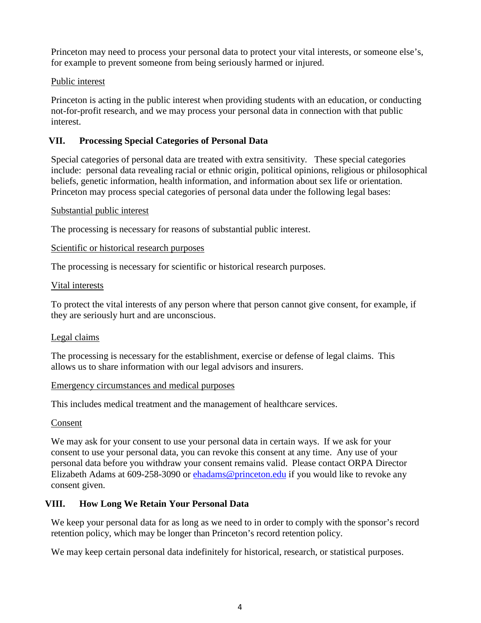Princeton may need to process your personal data to protect your vital interests, or someone else's, for example to prevent someone from being seriously harmed or injured.

#### Public interest

Princeton is acting in the public interest when providing students with an education, or conducting not-for-profit research, and we may process your personal data in connection with that public interest.

## **VII. Processing Special Categories of Personal Data**

Special categories of personal data are treated with extra sensitivity. These special categories include: personal data revealing racial or ethnic origin, political opinions, religious or philosophical beliefs, genetic information, health information, and information about sex life or orientation. Princeton may process special categories of personal data under the following legal bases:

#### Substantial public interest

The processing is necessary for reasons of substantial public interest.

## Scientific or historical research purposes

The processing is necessary for scientific or historical research purposes.

#### Vital interests

To protect the vital interests of any person where that person cannot give consent, for example, if they are seriously hurt and are unconscious.

## Legal claims

The processing is necessary for the establishment, exercise or defense of legal claims. This allows us to share information with our legal advisors and insurers.

#### Emergency circumstances and medical purposes

This includes medical treatment and the management of healthcare services.

## Consent

We may ask for your consent to use your personal data in certain ways. If we ask for your consent to use your personal data, you can revoke this consent at any time. Any use of your personal data before you withdraw your consent remains valid. Please contact ORPA Director Elizabeth Adams at 609-258-3090 or **chadams@princeton.edu** if you would like to revoke any consent given.

## **VIII. How Long We Retain Your Personal Data**

We keep your personal data for as long as we need to in order to comply with the sponsor's record retention policy, which may be longer than Princeton's record retention policy.

We may keep certain personal data indefinitely for historical, research, or statistical purposes.